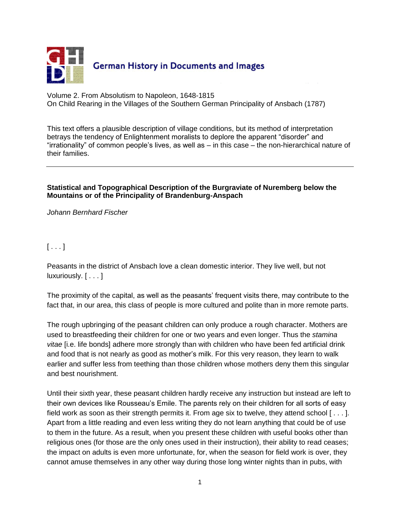

Volume 2. From Absolutism to Napoleon, 1648-1815 On Child Rearing in the Villages of the Southern German Principality of Ansbach (1787)

This text offers a plausible description of village conditions, but its method of interpretation betrays the tendency of Enlightenment moralists to deplore the apparent "disorder" and "irrationality" of common people's lives, as well as – in this case – the non-hierarchical nature of their families.

## **Statistical and Topographical Description of the Burgraviate of Nuremberg below the Mountains or of the Principality of Brandenburg-Anspach**

*Johann Bernhard Fischer* 

## $[\ldots]$

Peasants in the district of Ansbach love a clean domestic interior. They live well, but not luxuriously. [ . . . ]

The proximity of the capital, as well as the peasants' frequent visits there, may contribute to the fact that, in our area, this class of people is more cultured and polite than in more remote parts.

The rough upbringing of the peasant children can only produce a rough character. Mothers are used to breastfeeding their children for one or two years and even longer. Thus the *stamina vitae* [i.e. life bonds] adhere more strongly than with children who have been fed artificial drink and food that is not nearly as good as mother's milk. For this very reason, they learn to walk earlier and suffer less from teething than those children whose mothers deny them this singular and best nourishment.

Until their sixth year, these peasant children hardly receive any instruction but instead are left to their own devices like Rousseau's Emile. The parents rely on their children for all sorts of easy field work as soon as their strength permits it. From age six to twelve, they attend school  $[\ldots]$ . Apart from a little reading and even less writing they do not learn anything that could be of use to them in the future. As a result, when you present these children with useful books other than religious ones (for those are the only ones used in their instruction), their ability to read ceases; the impact on adults is even more unfortunate, for, when the season for field work is over, they cannot amuse themselves in any other way during those long winter nights than in pubs, with